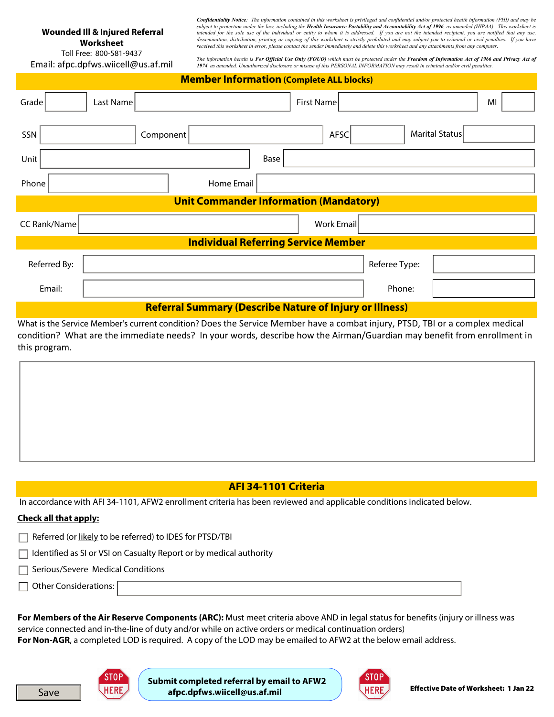# **Wounded Ill & Injured Referral**

**Worksheet**  Toll Free: 800-581-9437 Email: afpc.dpfws.wiicell@us.af.mil *Confidentiality Notice: The information contained in this worksheet is privileged and confidential and/or protected health information (PHI) and may be*  subject to protection under the law, including the **Health Insurance Portability and Accountability Act of 1996**, as amended (HIPAA). This worksheet is *intended for the sole use of the individual or entity to whom it is addressed. If you are not the intended recipient, you are notified that any use, dissemination, distribution, printing or copying of this worksheet is strictly prohibited and may subject you to criminal or civil penalties. If you have received this worksheet in error, please contact the sender immediately and delete this worksheet and any attachments from any computer.* 

The information herein is **For Official Use Only (FOUO)** which must be protected under the **Freedom of Information Act of 1966 and Privacy Act of**<br>**1974, as amended. Unauthorized disclosure or misuse of this PERSONAL INFOR** 

|                                                                |           |            | <b>Member Information (Complete ALL blocks)</b> |               |                |    |  |  |  |
|----------------------------------------------------------------|-----------|------------|-------------------------------------------------|---------------|----------------|----|--|--|--|
| Grade<br>$\blacktriangledown$                                  | Last Name |            | <b>First Name</b>                               |               |                | MI |  |  |  |
| SSN                                                            | Component |            | AFSC<br>▼∣                                      |               | Marital Status |    |  |  |  |
| Unit                                                           |           |            | Base                                            |               |                |    |  |  |  |
| Phone                                                          |           | Home Email |                                                 |               |                |    |  |  |  |
| <b>Unit Commander Information (Mandatory)</b>                  |           |            |                                                 |               |                |    |  |  |  |
| <b>CC Rank/Name</b>                                            |           |            | Work Email                                      |               |                |    |  |  |  |
|                                                                |           |            | <b>Individual Referring Service Member</b>      |               |                |    |  |  |  |
| Referred By:                                                   |           |            |                                                 | Referee Type: |                |    |  |  |  |
| Email:                                                         |           |            |                                                 | Phone:        |                |    |  |  |  |
| <b>Referral Summary (Describe Nature of Injury or Illness)</b> |           |            |                                                 |               |                |    |  |  |  |

What is the Service Member's current condition? Does the Service Member have a combat injury, PTSD, TBI or a complex medical condition? What are the immediate needs? In your words, describe how the Airman/Guardian may benefit from enrollment in this program.

### **AFI 34-1101 Criteria**

In accordance with AFI 34-1101, AFW2 enrollment criteria has been reviewed and applicable conditions indicated below.

#### **Check all that apply:**

- Referred (or likely to be referred) to IDES for PTSD/TBI
- $\Box$  Identified as SI or VSI on Casualty Report or by medical authority
- $\Box$  Serious/Severe Medical Conditions

 $\Box$  Other Considerations:

Save

**For Members of the Air Reserve Components (ARC):** Must meet criteria above AND in legal status for benefits (injury or illness was service connected and in-the-line of duty and/or while on active orders or medical continuation orders) **For Non-AGR**, a completed LOD is required. A copy of the LOD may be emailed to AFW2 at the below email address.

**Submit completed referral by email to AFW2 afpc.dpfws.wiicell@us.af.mil**

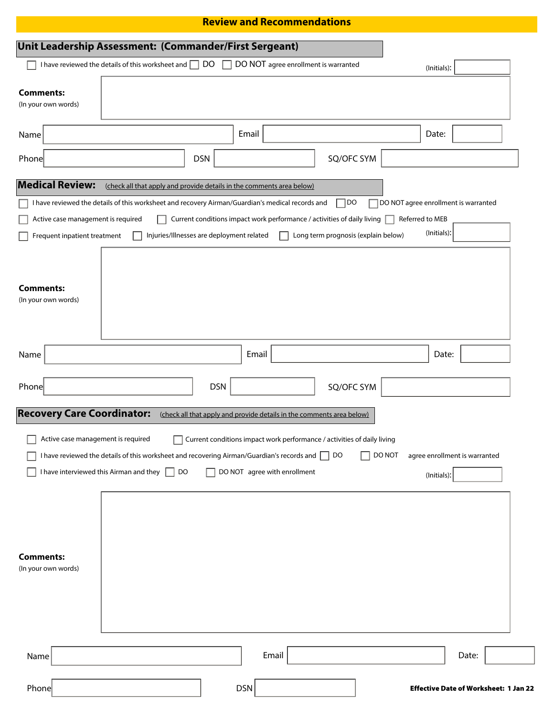## **Review and Recommendations**

|                                         | Unit Leadership Assessment: (Commander/First Sergeant)                                                                                                  |                                                                         |                                                                                                         |                                     |        |                                              |  |
|-----------------------------------------|---------------------------------------------------------------------------------------------------------------------------------------------------------|-------------------------------------------------------------------------|---------------------------------------------------------------------------------------------------------|-------------------------------------|--------|----------------------------------------------|--|
|                                         | I have reviewed the details of this worksheet and $\Box$ DO                                                                                             |                                                                         | DO NOT agree enrollment is warranted                                                                    |                                     |        | (Initials):                                  |  |
| <b>Comments:</b><br>(In your own words) |                                                                                                                                                         |                                                                         |                                                                                                         |                                     |        |                                              |  |
| Name                                    |                                                                                                                                                         |                                                                         | Email                                                                                                   |                                     |        | Date:                                        |  |
| Phone                                   |                                                                                                                                                         | <b>DSN</b>                                                              |                                                                                                         | SQ/OFC SYM                          |        |                                              |  |
| <b>Medical Review:</b>                  | (check all that apply and provide details in the comments area below)                                                                                   |                                                                         |                                                                                                         |                                     |        |                                              |  |
|                                         | I have reviewed the details of this worksheet and recovery Airman/Guardian's medical records and                                                        |                                                                         |                                                                                                         | 1do                                 |        | $\Box$ DO NOT agree enrollment is warranted  |  |
| Active case management is required      |                                                                                                                                                         | Current conditions impact work performance / activities of daily living |                                                                                                         |                                     |        | Referred to MEB                              |  |
| Frequent inpatient treatment            |                                                                                                                                                         | Injuries/Illnesses are deployment related                               |                                                                                                         | Long term prognosis (explain below) |        | (Initials):                                  |  |
| <b>Comments:</b><br>(In your own words) |                                                                                                                                                         |                                                                         |                                                                                                         |                                     |        |                                              |  |
| Name                                    |                                                                                                                                                         |                                                                         | Email                                                                                                   |                                     |        | Date:                                        |  |
| Phone                                   |                                                                                                                                                         | <b>DSN</b>                                                              |                                                                                                         | SQ/OFC SYM                          |        |                                              |  |
| <b>Recovery Care Coordinator:</b>       |                                                                                                                                                         | (check all that apply and provide details in the comments area below)   |                                                                                                         |                                     |        |                                              |  |
| Active case management is required      | ட<br>I have reviewed the details of this worksheet and recovering Airman/Guardian's records and<br>I have interviewed this Airman and they $\Box$<br>DO |                                                                         | Current conditions impact work performance / activities of daily living<br>DO NOT agree with enrollment | DO                                  | DO NOT | agree enrollment is warranted<br>(Initials): |  |
| <b>Comments:</b><br>(In your own words) |                                                                                                                                                         |                                                                         |                                                                                                         |                                     |        |                                              |  |
| Name                                    |                                                                                                                                                         |                                                                         | Email                                                                                                   |                                     |        | Date:                                        |  |
| Phone                                   |                                                                                                                                                         |                                                                         | <b>DSN</b>                                                                                              |                                     |        | <b>Effective Date of Worksheet: 1 Jan 22</b> |  |